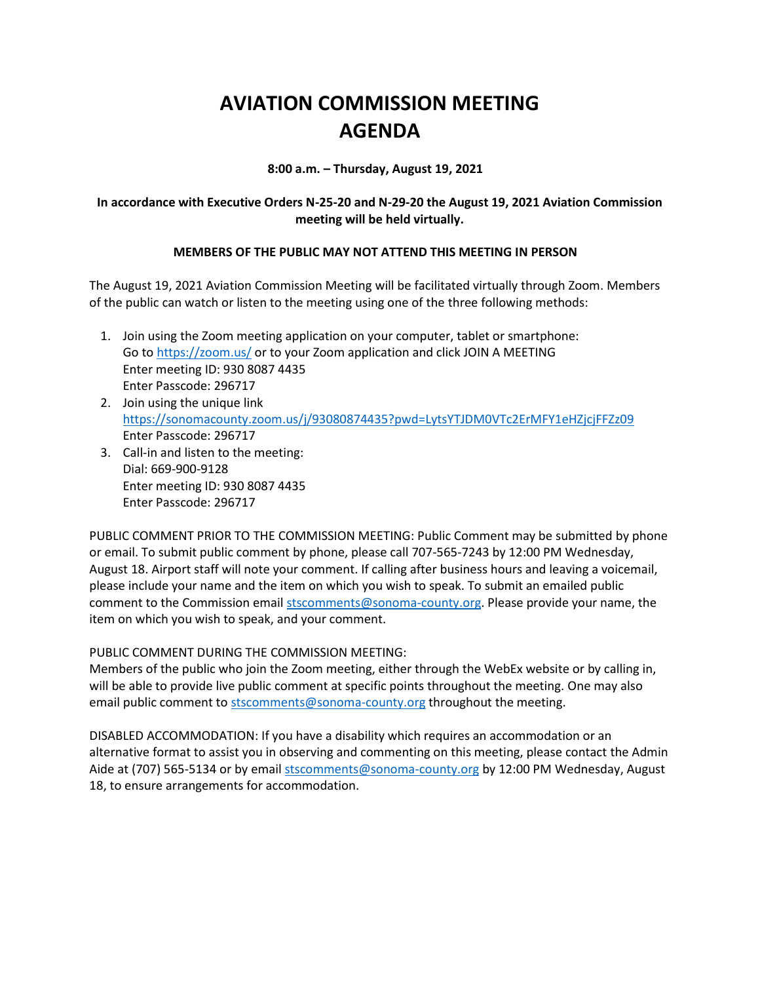# **AVIATION COMMISSION MEETING AGENDA**

**8:00 a.m. – Thursday, August 19, 2021**

## **In accordance with Executive Orders N-25-20 and N-29-20 the August 19, 2021 Aviation Commission meeting will be held virtually.**

## **MEMBERS OF THE PUBLIC MAY NOT ATTEND THIS MEETING IN PERSON**

The August 19, 2021 Aviation Commission Meeting will be facilitated virtually through Zoom. Members of the public can watch or listen to the meeting using one of the three following methods:

- 1. Join using the Zoom meeting application on your computer, tablet or smartphone: Go to<https://zoom.us/> or to your Zoom application and click JOIN A MEETING Enter meeting ID: 930 8087 4435 Enter Passcode: 296717
- 2. Join using the unique link <https://sonomacounty.zoom.us/j/93080874435?pwd=LytsYTJDM0VTc2ErMFY1eHZjcjFFZz09> Enter Passcode: 296717
- 3. Call-in and listen to the meeting: Dial: 669-900-9128 Enter meeting ID: 930 8087 4435 Enter Passcode: 296717

PUBLIC COMMENT PRIOR TO THE COMMISSION MEETING: Public Comment may be submitted by phone or email. To submit public comment by phone, please call 707-565-7243 by 12:00 PM Wednesday, August 18. Airport staff will note your comment. If calling after business hours and leaving a voicemail, please include your name and the item on which you wish to speak. To submit an emailed public comment to the Commission email [stscomments@sonoma-county.org.](mailto:stscomments@sonoma-county.org) Please provide your name, the item on which you wish to speak, and your comment.

PUBLIC COMMENT DURING THE COMMISSION MEETING:

Members of the public who join the Zoom meeting, either through the WebEx website or by calling in, will be able to provide live public comment at specific points throughout the meeting. One may also email public comment to [stscomments@sonoma-county.org](mailto:stscomments@sonoma-county.org) throughout the meeting.

DISABLED ACCOMMODATION: If you have a disability which requires an accommodation or an alternative format to assist you in observing and commenting on this meeting, please contact the Admin Aide at (707) 565-5134 or by emai[l stscomments@sonoma-county.org](mailto:stscomments@sonoma-county.org) by 12:00 PM Wednesday, August 18, to ensure arrangements for accommodation.